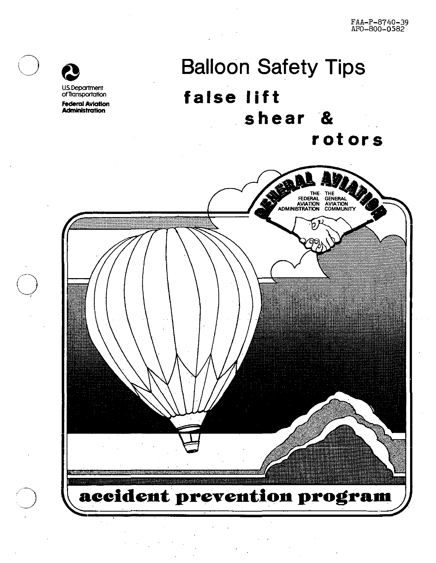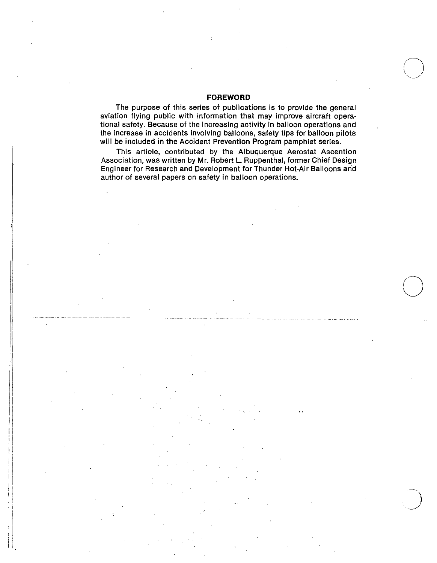# **FOREWORD**

The purpose of this series of publications is to provide the general aviation flying public with information that may improve aircraft operational safety. Because of the increasing activity in balloon operations and the increase in accidents involving balloons, safety tips for balloon pilots will be included in the Accident Prevention Program pamphlet series.

This article, contributed by the Albuquerque Aerostat Ascention Association, was written by Mr. Robert L. Ruppenthal, former Chief Design Engineer for Research and Development for Thunder Hot-Air Balloons arid author of several papers on safety in balloon operations.

 $\bigcirc$ 

I ||<br>||-

||<br>||

 $\parallel$ 

i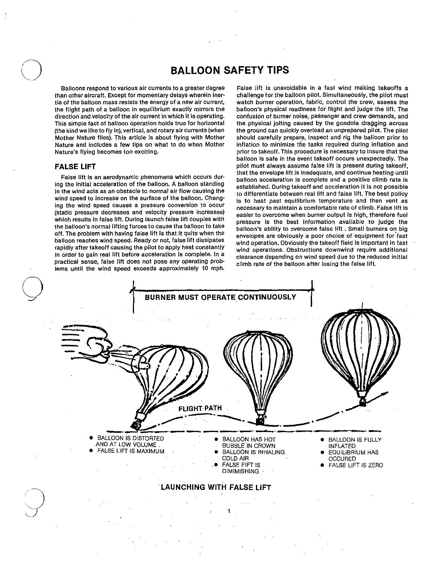# BALLOON SAFETY TIPS

Balloons respond to various air currents to a greater degree than other aircraft. Except for momentary delays wherein inertia of the balloon mass resists the energy of a new air current, the flight path of a balloon in equilibrium exactly mirrors the direction and velocity of the air current in which it is operating. This simple fact of balloon operation holds true for horizontal (the kind we like to fly in), vertical, and rotary air currents (when Mother Nature flies). This article is about flying with Mother Nature and includes a few tips on what to do when Mother Nature's flying becomes too exciting.

## FALSE LIFT

False lift Is an aerodynamic phenomena which occurs during the initial acceleration of the balloon. A balloon standing in the wind acts as an obstacle to normal air flow causing the wind speed to increase on the surface of the balloon. Changing the wind speed causes a pressure conversion to occur (static pressure decreases and velocity pressure increases) which results in false lift. During launch false lift couples with the balloon's normal lifting forces to cause the balloon to take off. The problem with having false lift is that it quits when the balloon reaches wind speed. Ready or not, false lift dissipates rapidly after takeoff causing the pilot to apply heat constantly in order to gain real lift before acceleration is complete. In a practical sense, false lift does not pose any operating problems until the wind speed exceeds approximately 10 mph.

False lift is unavoidable in a fast wind making takeoffs a challenge for the balloon pilot. Simultaneously, the pilot must watch burner operation, fabric, control the crew, assess the balloon's physical readiness for flight and judge the lift. The confusion of burner noise, passenger and crew demands, and the. physical jolting caused by the gondola dragging across the ground can quickly overload an unprepared pilot. The pilot should carefully prepare, inspect and rig the balloon prior to inflation to minimize the tasks required during inflation and prior to takeoff. This procedure is necessary to insure that the balloon is safe in the event takeoff occurs unexpectedly. The pilot must always assume false lift is present during takeoff, that the envelope lift is inadequate, and continue heating until balloon acceleration is complete and a positive climb rate is established. During takeoff and acceleration it is not possible to differentiate between real lift and false lift. The best policy is to heat past equilibrium temperature and then vent as necessary to maintain a comfortable rate of climb. False lift is easier to overcome when burner output is high, therefore fuel pressure is the best information available to judge the balloon's ability to overcome false lift . Small burners on big envelopes are obviously a poor choice of equipment for'fast wind operation. Obviously the takeoff field is important in fast wind operations. Obstructions downwind require additional clearance depending on wind speed due to the reduced initial climb rate of the balloon after losing the false lift.

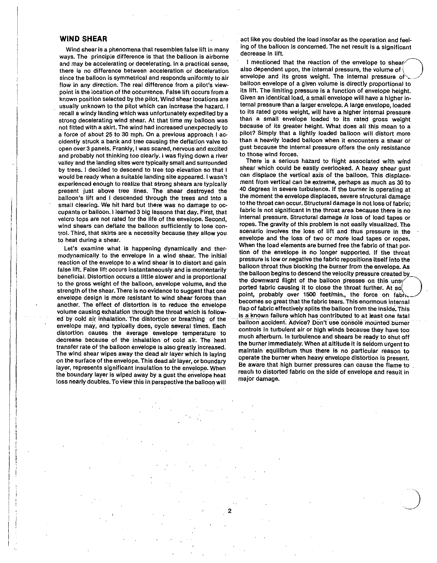### WIND SHEAR

Wind shear is a phenomena that resembles false lift in many ways. The principle difference is that the·balloon is airborne and may be accelerating or decelerating. In a practical sense, there is no difference between acceleration or deceleration since the balloon is symmetrical and responds uniformly to air floW in any direction. The real difference from a pilot's viewpoint is the location of the occurrence. False lift occurs from a known position selected by the pilot. Wind shear locations are usually unknown to the pilot which can increase the hazard. 1 recall a windy landing which was unfortunately expedited by a strong decelerating wind shear. At that time my balloon was not fitted With a skirt. The wind had increased unexpectedly to a force of about 25 to 30 mph. On a previous approach 1 accidently struck a bank and tree causing the deflation valve to open over 3 panels. Frankly, I was scared, nervous and excited and probably not thinking too clearly. I was flying down a river valley and the landing sites were typically small and surrounded by trees. I decided to descend to tree top elevation so that I would be ready when a suitable landing site appeared. 1 wasn't experienced enough to realize that strong shears are typically present just above tree lines. The shear destroyed the balloon's lift and I descended through the trees and into a small clearing. We hit hard but there was no damage to occupants or balloon. I learned 3 big lessons that day. First, that velcro tops are not rated for the life of the envelope. Second, wind shears can deflate the balloon sufficiently to lose control. Third, that skirts are a necessity because they allow you to heat during a shear.

Let's examine what is happening dynamically and thermodynamically to the envelope in a wind shear. The initial reaction of the envelope to a wind shear is to distort and gain false lift. False lift occurs instantaneously and is momentarily beneficial. Distortion occurs a little slower and is proportional to the gross weight of the balloon, envelope volume, and the strength of the shear. There is no evidence to suggest that one envelope design is more resistant to wind shear forces than another. The effect of distortion is to reduce the envelope volume causing exhalation through the throat which is followed by cold air inhalation. The distortion or breathing of the envelope may, and typically does, cycle several times. Each distortion causes the average envelope temperature to decrease because of the inhalation of cold air. The heat transfer rate of the balloon envelope is also greatly increased. The wind shear wipes away the dead air layer which is laying on the surface of the envelope. This dead air layer, or boundary layer, represents significant insulation to the envelope. When the boundary layer is wiped away by a gust the envelope heat loss nearly doubles. To view this in perspective the balloon will

2

. act like you doubled the load insofar as the operation and feeling of the balloon is concerned. The net result is a significant decrease in lift.

I mentioned that the reaction of the envelope to shear? also dependent upon, the internal pressure, the volume of  $\overline{\ }$ envelope and its gross weight. The internal pressure of balloon envelope of a given volume is directly proportional to its lift. The limiting pressure is a function of envelope height. Given an identical load, a small envelope will have a higher internal pressure than a larger envelope. A large envelope, loaded to its rated gross weight, will have a higher internal pressure than a small envelope loaded to its rated gross weight because of its greater height. What does all this mean to a pilot? Simply that a lightly loaded balloon will distort more than a heavily loaded balloon when it encounters a shear or gust because the internal pressure offers the only resistance to. those wind forces.

There is a serious hazard to flight associated with wind shear which could be easily overlooked. A heavy shear gust can displace the vertical axis of the balloon. This displacement from vertical can be extreme, perhaps as much as 30 to 40 degrees in severe turbulence. If the burner is operating at the moment the envelope displaces, severe structural damage to the throat can occur. Structural damage is not loss of fabric; fabric is not significant in the throat area because there is no internal pressure. Structural damage is loss of load tapes or ropes. The gravity of this problem is not easily visualized. The scenario involves the loss of lift and thus pressure in the envelope and the loss of two or more load tapes or ropes. When the load elements are burned free the fabric of that portion of the envelope is no longer supported. If the throat pressure is low or negative the fabric repositions itself into the balloon throat thus blocking the burner from the envelope. As the balloon begins to descend the velocity pressure created bY. the downward flight of the balloon presses on this unsy ported fabric causing it to close the throat further. At so. point, probably over 1500 feet/min., the force on fabri. becomes so great that the fabric tears. This enormous internal flap of fabric effectively splits the balloon from the inside. This is a known failure which has contributed to at least one fatal balloon accident. Advice? Don't use console mounted burner controls In turbulent air or high winds because they have too much afterburn. In turbulence and shears be ready to shut off the burner immediately. When at altitude it is seldom urgent to maintain equilibrium thus there is no particular reason to operate the burner when heavy envelope distortion is present. Be aware that high burner pressures can cause the flame to reach to distorted fabric on the side of envelope and result in major damage.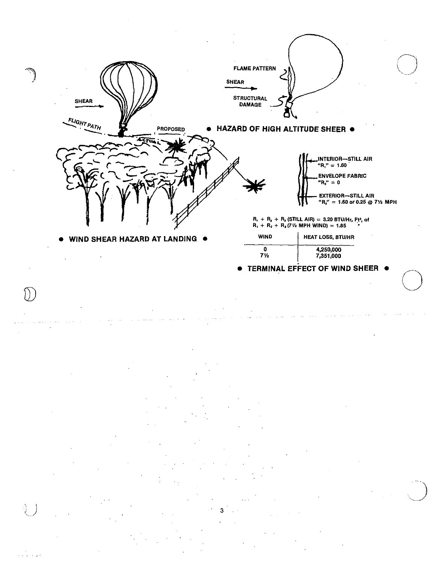